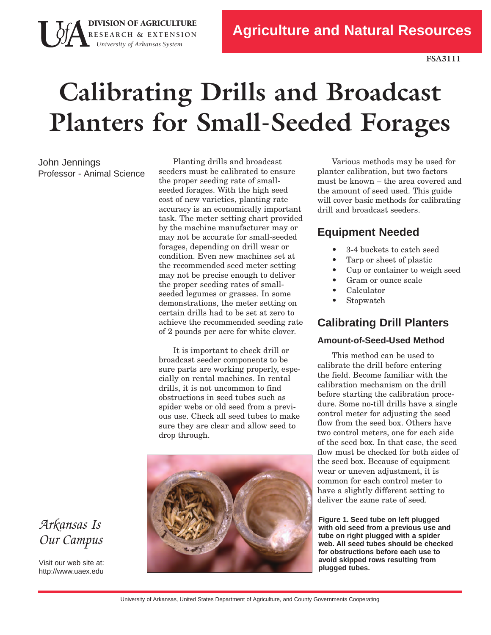# **Calibrating Drills and Broadcast Planters for Small-Seeded Forages**

John Jennings Professor - Animal Science

**DIVISION OF AGRICULTURE** 

**R E S E A R C H & E X T E N S I O N**  *University of Arkansas System* 

> Planting drills and broadcast seeders must be calibrated to ensure the proper seeding rate of smallseeded forages. With the high seed cost of new varieties, planting rate accuracy is an economically important task. The meter setting chart provided by the machine manufacturer may or may not be accurate for small-seeded forages, depending on drill wear or condition. Even new machines set at the recommended seed meter setting may not be precise enough to deliver the proper seeding rates of smallseeded legumes or grasses. In some demonstrations, the meter setting on certain drills had to be set at zero to achieve the recommended seeding rate of 2 pounds per acre for white clover.

It is important to check drill or broadcast seeder components to be sure parts are working properly, especially on rental machines. In rental drills, it is not uncommon to find obstructions in seed tubes such as spider webs or old seed from a previous use. Check all seed tubes to make sure they are clear and allow seed to drop through.



 will cover basic methods for calibrating Various methods may be used for planter calibration, but two factors must be known – the area covered and the amount of seed used. This guide drill and broadcast seeders.

#### **Equipment Needed**

- 34 buckets to catch seed
- Tarp or sheet of plastic
- Cup or container to weigh seed
- Gram or ounce scale
- Calculator
- **Stopwatch**

#### **Calibrating Drill Planters**

#### **Amount-of-Seed-Used Method**

This method can be used to calibrate the drill before entering the field. Become familiar with the calibration mechanism on the drill before starting the calibration procedure. Some notill drills have a single control meter for adjusting the seed flow from the seed box. Others have two control meters, one for each side of the seed box. In that case, the seed flow must be checked for both sides of the seed box. Because of equipment wear or uneven adjustment, it is common for each control meter to have a slightly different setting to deliver the same rate of seed.

**Figure 1. Seed tube on left plugged with old seed from a previous use and tube on right plugged with a spider web. All seed tubes should be checked for obstructions before each use to avoid skipped rows resulting from plugged tubes.**

### *Arkansas Is Our Campus*

Visit our web site at: http://www.uaex.edu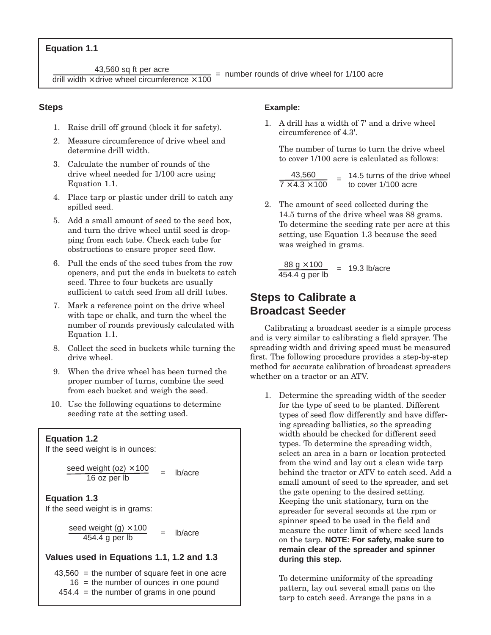#### **Equation 1.1**

43,560 sq ft per acre<br>drill width  $\times$  drive wheel circumference  $\times$  100 = number rounds of drive wheel for 1/100 acre

#### **Steps**

- 1. Raise drill off ground (block it for safety).
- 2. Measure circumference of drive wheel and determine drill width.
- 3. Calculate the number of rounds of the drive wheel needed for 1/100 acre using Equation 1.1.
- 4. Place tarp or plastic under drill to catch any spilled seed.
- 5. Add a small amount of seed to the seed box, and turn the drive wheel until seed is dropping from each tube. Check each tube for obstructions to ensure proper seed flow.
- 6. Pull the ends of the seed tubes from the row openers, and put the ends in buckets to catch seed. Three to four buckets are usually sufficient to catch seed from all drill tubes.
- 7. Mark a reference point on the drive wheel with tape or chalk, and turn the wheel the number of rounds previously calculated with Equation 1.1.
- 8. Collect the seed in buckets while turning the drive wheel.
- 9. When the drive wheel has been turned the proper number of turns, combine the seed from each bucket and weigh the seed.
- 10. Use the following equations to determine seeding rate at the setting used.

#### **Equation 1.2**

If the seed weight is in ounces:

seed weight (oz)  $\times$  100  $\frac{\text{weight} (02) \times 100}{16 \text{ oz per lb}}$  = lb/acre

#### **Equation 1.3**

If the seed weight is in grams:

seed weight (g)  $\times$  100  $\frac{d \text{ weight } (g) \land 100}{454.4 \text{ g per lb}}$  = lb/acre

#### **Values used in Equations 1.1, 1.2 and 1.3**

 $43,560$  = the number of square feet in one acre  $16$  = the number of ounces in one pound  $454.4$  = the number of grams in one pound

#### **Example:**

1. A drill has a width of 7' and a drive wheel circumference of 4.3'.

The number of turns to turn the drive wheel to cover 1/100 acre is calculated as follows:

 $\frac{43,560}{7 \times 4.3 \times 100}$  = 14.5 turns of the drive wheel

2. The amount of seed collected during the 14.5 turns of the drive wheel was 88 grams. To determine the seeding rate per acre at this setting, use Equation 1.3 because the seed was weighed in grams.

 $\frac{88 \text{ g} \times 100}{9.3 \text{ lb/acre}}$  = 19.3 lb/acre 454.4 g per lb

#### **Steps to Calibrate a Broadcast Seeder**

 method for accurate calibration of broadcast spreaders Calibrating a broadcast seeder is a simple process and is very similar to calibrating a field sprayer. The spreading width and driving speed must be measured first. The following procedure provides a step-by-step whether on a tractor or an ATV.

 on the tarp. **NOTE: For safety, make sure to** 1. Determine the spreading width of the seeder for the type of seed to be planted. Different types of seed flow differently and have differing spreading ballistics, so the spreading width should be checked for different seed types. To determine the spreading width, select an area in a barn or location protected from the wind and lay out a clean wide tarp behind the tractor or ATV to catch seed. Add a small amount of seed to the spreader, and set the gate opening to the desired setting. Keeping the unit stationary, turn on the spreader for several seconds at the rpm or spinner speed to be used in the field and measure the outer limit of where seed lands **remain clear of the spreader and spinner during this step.**

To determine uniformity of the spreading pattern, lay out several small pans on the tarp to catch seed. Arrange the pans in a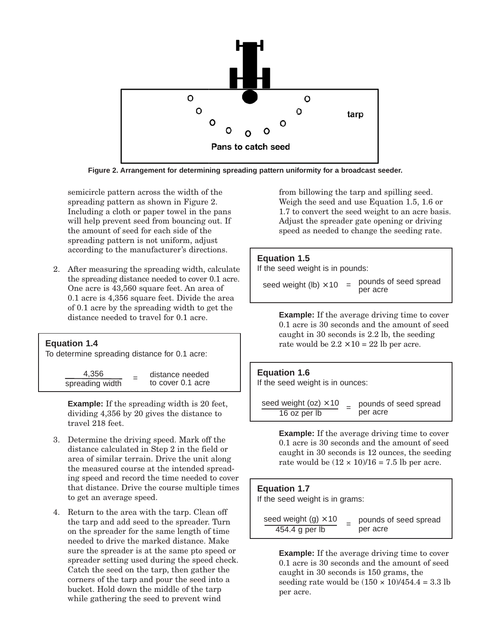

**Figure 2. Arrangement for determining spreading pattern uniformity for a broadcast seeder.**

semicircle pattern across the width of the spreading pattern as shown in Figure 2. Including a cloth or paper towel in the pans will help prevent seed from bouncing out. If the amount of seed for each side of the spreading pattern is not uniform, adjust according to the manufacturer's directions.

 2. After measuring the spreading width, calculate the spreading distance needed to cover 0.1 acre. One acre is 43,560 square feet. An area of 0.1 acre is 4,356 square feet. Divide the area of 0.1 acre by the spreading width to get the distance needed to travel for 0.1 acre.

## **Equation 1.4** To determine spreading distance for 0.1 acre:  $\frac{4,356}{\text{spreading width}}$  = distance needed

**Example:** If the spreading width is 20 feet, dividing 4,356 by 20 gives the distance to travel 218 feet.

- 3. Determine the driving speed. Mark off the distance calculated in Step 2 in the field or area of similar terrain. Drive the unit along the measured course at the intended spreading speed and record the time needed to cover that distance. Drive the course multiple times to get an average speed.
- 4. Return to the area with the tarp. Clean off the tarp and add seed to the spreader. Turn on the spreader for the same length of time needed to drive the marked distance. Make sure the spreader is at the same pto speed or spreader setting used during the speed check. Catch the seed on the tarp, then gather the corners of the tarp and pour the seed into a bucket. Hold down the middle of the tarp while gathering the seed to prevent wind

 1.7 to convert the seed weight to an acre basis. from billowing the tarp and spilling seed. Weigh the seed and use Equation 1.5, 1.6 or Adjust the spreader gate opening or driving speed as needed to change the seeding rate.

#### **Equation 1.5**

If the seed weight is in pounds:

seed weight (lb)  $\times$  10 = pounds of seed spread

rate would be  $2.2 \times 10 = 22$  lb per acre. **Example:** If the average driving time to cover 0.1 acre is 30 seconds and the amount of seed caught in 30 seconds is 2.2 lb, the seeding

#### **Equation 1.6**

If the seed weight is in ounces:

 $\frac{\text{seed weight (oz)} \times 10}{16 \text{ oz per lb}}$  = pounds of seed spread

**Example:** If the average driving time to cover 0.1 acre is 30 seconds and the amount of seed caught in 30 seconds is 12 ounces, the seeding rate would be  $(12 \times 10)/16 = 7.5$  lb per acre.

**Equation 1.7** If the seed weight is in grams:  $\frac{\text{seed weight (g)} \times 10}{454.4 \text{ g per lb}}$  = pounds of seed spread  $454.4$  g per lb

> seeding rate would be  $(150 \times 10)/454.4 = 3.3$  lb **Example:** If the average driving time to cover 0.1 acre is 30 seconds and the amount of seed caught in 30 seconds is 150 grams, the per acre.